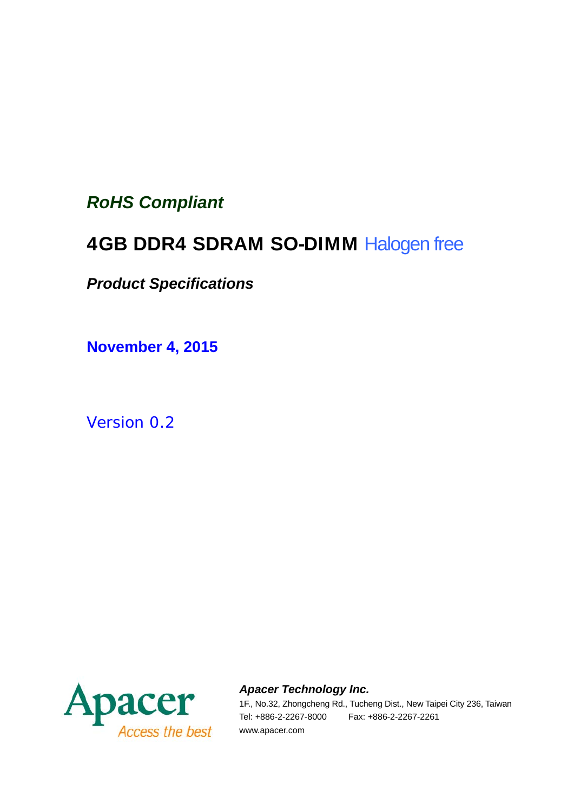## *RoHS Compliant*

# 4GB DDR4 SDRAM SO-DIMM Halogen free

## *Product Specifications*

**November 4, 2015**

*Version 0.2*



*Apacer Technology Inc.*

1F., No.32, Zhongcheng Rd., Tucheng Dist., New Taipei City 236, Taiwan Tel: +886-2-2267-8000 Fax: +886-2-2267-2261 www.apacer.com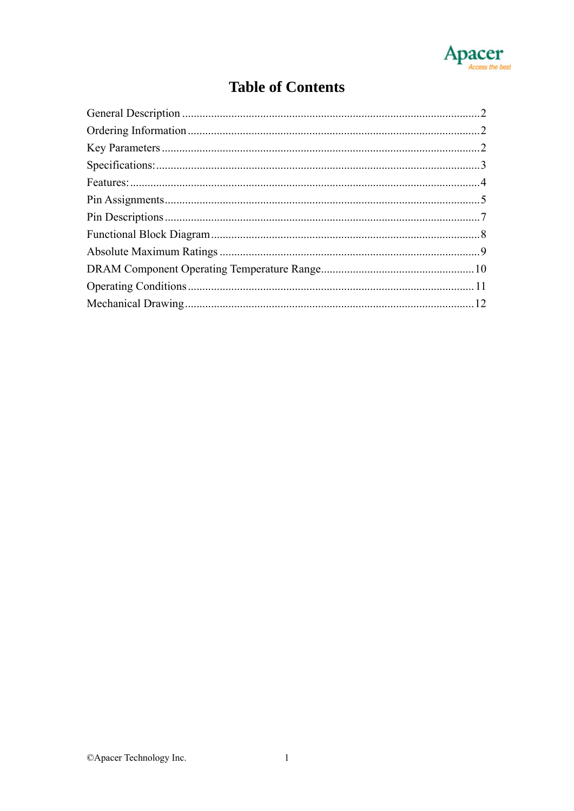

#### **Table of Contents**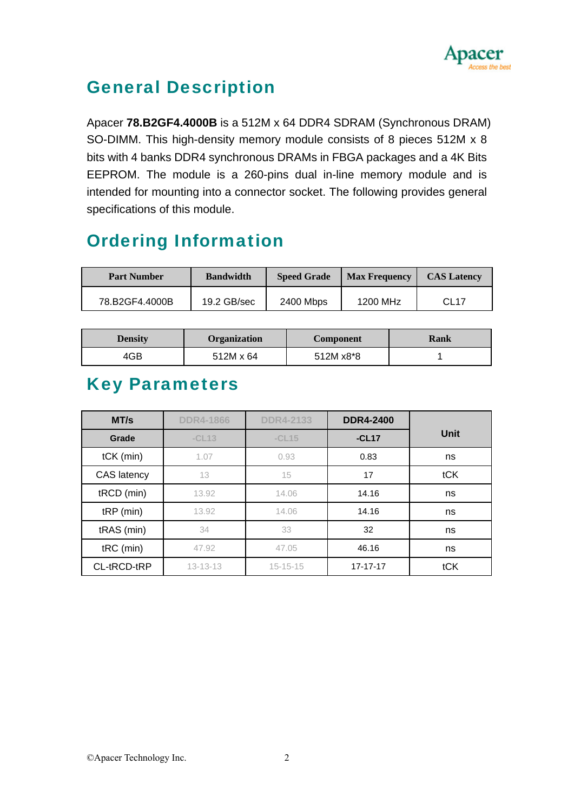

# General Description

Apacer **78.B2GF4.4000B** is a 512M x 64 DDR4 SDRAM (Synchronous DRAM) SO-DIMM. This high-density memory module consists of 8 pieces 512M x 8 bits with 4 banks DDR4 synchronous DRAMs in FBGA packages and a 4K Bits EEPROM. The module is a 260-pins dual in-line memory module and is intended for mounting into a connector socket. The following provides general specifications of this module.

# Ordering Information

| <b>Part Number</b> | <b>Bandwidth</b> | <b>Speed Grade</b> | <b>Max Frequency</b> | <b>CAS Latency</b> |
|--------------------|------------------|--------------------|----------------------|--------------------|
| 78.B2GF4.4000B     | $19.2$ GB/sec    | 2400 Mbps          | 1200 MHz             | CL <sub>17</sub>   |

| <b>Density</b> | <b>Organization</b> | <b>Component</b> | Rank |
|----------------|---------------------|------------------|------|
| 4GB            | 512M x 64           | 512M x8*8        |      |

#### Key Parameters

| MT/s        | <b>DDR4-1866</b> | <b>DDR4-2133</b> | <b>DDR4-2400</b> |      |
|-------------|------------------|------------------|------------------|------|
| Grade       | $-CL13$          | $-CL15$          | $-CL17$          | Unit |
| $tCK$ (min) | 1.07             | 0.93             | 0.83             | ns   |
| CAS latency | 13               | 15               | 17               | tCK  |
| tRCD (min)  | 13.92            | 14.06            | 14.16            | ns   |
| $tRP$ (min) | 13.92            | 14.06            | 14.16            | ns   |
| tRAS (min)  | 34               | 33               | 32               | ns   |
| tRC (min)   | 47.92            | 47.05            | 46.16            | ns   |
| CL-tRCD-tRP | $13 - 13 - 13$   | $15 - 15 - 15$   | 17-17-17         | tCK  |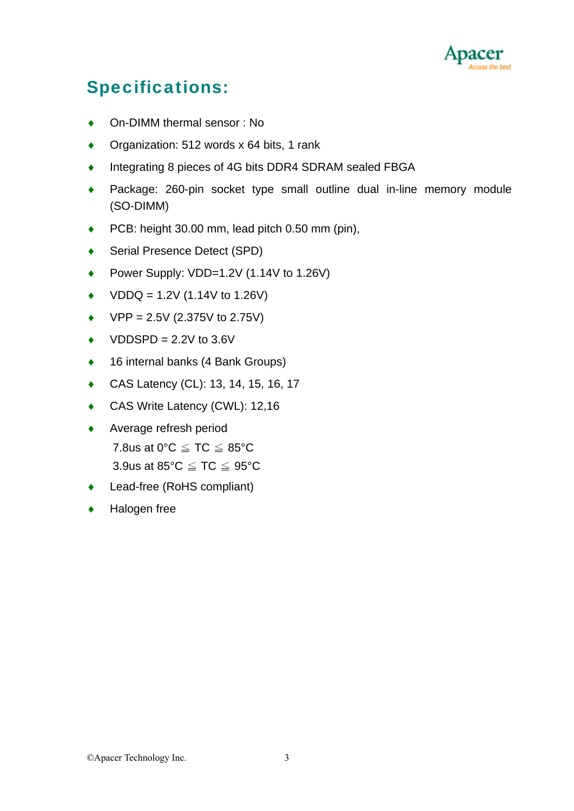

# Specifications:

- ♦ On-DIMM thermal sensor : No
- ◆ Organization: 512 words x 64 bits, 1 rank
- ♦ Integrating 8 pieces of 4G bits DDR4 SDRAM sealed FBGA
- ♦ Package: 260-pin socket type small outline dual in-line memory module (SO-DIMM)
- PCB: height 30.00 mm, lead pitch 0.50 mm (pin),
- ◆ Serial Presence Detect (SPD)
- Power Supply: VDD=1.2V (1.14V to 1.26V)
- $VDDQ = 1.2V (1.14V to 1.26V)$
- $\blacklozenge$  VPP = 2.5V (2.375V to 2.75V)
- $\blacklozenge$  VDDSPD = 2.2V to 3.6V
- ♦ 16 internal banks (4 Bank Groups)
- ♦ CAS Latency (CL): 13, 14, 15, 16, 17
- ◆ CAS Write Latency (CWL): 12,16
- ♦ Average refresh period 7.8us at 0°C  $\leq$  TC  $\leq$  85°C 3.9us at 85°C  $\leq$  TC  $\leq$  95°C
- Lead-free (RoHS compliant)
- Halogen free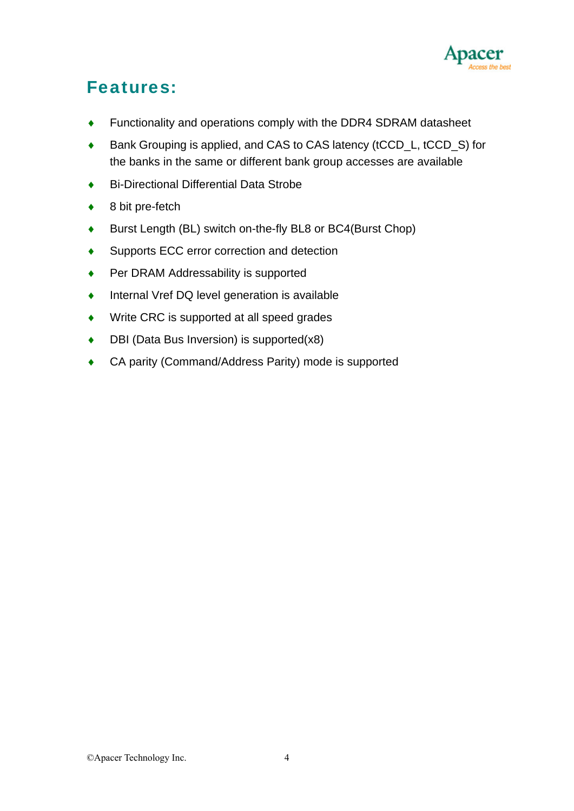

## Features:

- ♦ Functionality and operations comply with the DDR4 SDRAM datasheet
- Bank Grouping is applied, and CAS to CAS latency (tCCD L, tCCD S) for the banks in the same or different bank group accesses are available
- ♦ Bi-Directional Differential Data Strobe
- $\bullet$  8 bit pre-fetch
- ♦ Burst Length (BL) switch on-the-fly BL8 or BC4(Burst Chop)
- ♦ Supports ECC error correction and detection
- Per DRAM Addressability is supported
- Internal Vref DQ level generation is available
- ♦ Write CRC is supported at all speed grades
- $\bullet$  DBI (Data Bus Inversion) is supported(x8)
- ♦ CA parity (Command/Address Parity) mode is supported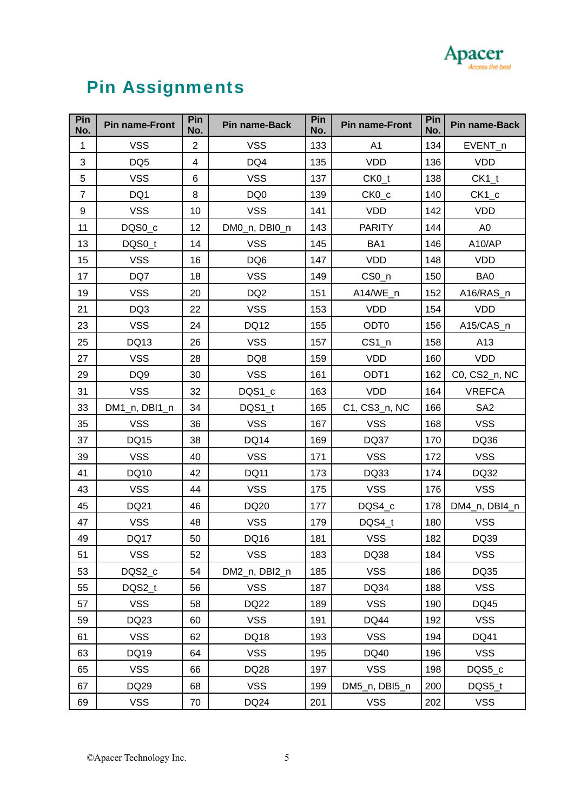

# Pin Assignments

| Pin<br>No.     | <b>Pin name-Front</b> | Pin<br>No.     | Pin name-Back   | Pin<br>No. | <b>Pin name-Front</b> | Pin<br>No. | Pin name-Back   |
|----------------|-----------------------|----------------|-----------------|------------|-----------------------|------------|-----------------|
| $\mathbf{1}$   | <b>VSS</b>            | $\overline{2}$ | <b>VSS</b>      | 133        | A1                    | 134        | EVENT_n         |
| 3              | DQ <sub>5</sub>       | $\overline{4}$ | DQ4             | 135        | <b>VDD</b>            | 136        | <b>VDD</b>      |
| 5              | <b>VSS</b>            | 6              | <b>VSS</b>      | 137        | $CKO_t$               | 138        | $CK1_t$         |
| $\overline{7}$ | DQ1                   | 8              | DQ <sub>0</sub> | 139        | $CKO_{c}$             | 140        | $CK1_c$         |
| 9              | <b>VSS</b>            | 10             | <b>VSS</b>      | 141        | <b>VDD</b>            | 142        | <b>VDD</b>      |
| 11             | DQS0_c                | 12             | DM0_n, DBI0_n   | 143        | <b>PARITY</b>         | 144        | A <sub>0</sub>  |
| 13             | DQS0_t                | 14             | <b>VSS</b>      | 145        | BA1                   | 146        | A10/AP          |
| 15             | <b>VSS</b>            | 16             | DQ <sub>6</sub> | 147        | <b>VDD</b>            | 148        | <b>VDD</b>      |
| 17             | DQ7                   | 18             | <b>VSS</b>      | 149        | $CS0_n$               | 150        | BA0             |
| 19             | <b>VSS</b>            | 20             | DQ <sub>2</sub> | 151        | A14/WE_n              | 152        | A16/RAS_n       |
| 21             | DQ3                   | 22             | <b>VSS</b>      | 153        | <b>VDD</b>            | 154        | <b>VDD</b>      |
| 23             | <b>VSS</b>            | 24             | <b>DQ12</b>     | 155        | ODT <sub>0</sub>      | 156        | A15/CAS_n       |
| 25             | DQ13                  | 26             | <b>VSS</b>      | 157        | $CS1_n$               | 158        | A13             |
| 27             | <b>VSS</b>            | 28             | DQ8             | 159        | <b>VDD</b>            | 160        | <b>VDD</b>      |
| 29             | DQ <sub>9</sub>       | 30             | <b>VSS</b>      | 161        | ODT <sub>1</sub>      | 162        | C0, CS2_n, NC   |
| 31             | <b>VSS</b>            | 32             | DQS1_c          | 163        | <b>VDD</b>            | 164        | <b>VREFCA</b>   |
| 33             | DM1_n, DBI1_n         | 34             | DQS1_t          | 165        | C1, CS3_n, NC         | 166        | SA <sub>2</sub> |
| 35             | <b>VSS</b>            | 36             | <b>VSS</b>      | 167        | <b>VSS</b>            | 168        | <b>VSS</b>      |
| 37             | DQ15                  | 38             | <b>DQ14</b>     | 169        | DQ37                  | 170        | DQ36            |
| 39             | <b>VSS</b>            | 40             | <b>VSS</b>      | 171        | <b>VSS</b>            | 172        | <b>VSS</b>      |
| 41             | DQ10                  | 42             | <b>DQ11</b>     | 173        | DQ33                  | 174        | DQ32            |
| 43             | <b>VSS</b>            | 44             | <b>VSS</b>      | 175        | <b>VSS</b>            | 176        | <b>VSS</b>      |
| 45             | DQ21                  | 46             | DQ20            | 177        | DQS4_c                | 178        | DM4_n, DBI4_n   |
| 47             | <b>VSS</b>            | 48             | <b>VSS</b>      | 179        | DQS4 t                | 180        | <b>VSS</b>      |
| 49             | <b>DQ17</b>           | 50             | DQ16            | 181        | <b>VSS</b>            | 182        | DQ39            |
| 51             | <b>VSS</b>            | 52             | <b>VSS</b>      | 183        | DQ38                  | 184        | <b>VSS</b>      |
| 53             | DQS2_c                | 54             | DM2 n, DBI2 n   | 185        | <b>VSS</b>            | 186        | DQ35            |
| 55             | DQS2_t                | 56             | <b>VSS</b>      | 187        | DQ34                  | 188        | <b>VSS</b>      |
| 57             | <b>VSS</b>            | 58             | <b>DQ22</b>     | 189        | <b>VSS</b>            | 190        | DQ45            |
| 59             | DQ23                  | 60             | <b>VSS</b>      | 191        | <b>DQ44</b>           | 192        | <b>VSS</b>      |
| 61             | <b>VSS</b>            | 62             | DQ18            | 193        | <b>VSS</b>            | 194        | DQ41            |
| 63             | DQ19                  | 64             | <b>VSS</b>      | 195        | DQ40                  | 196        | <b>VSS</b>      |
| 65             | <b>VSS</b>            | 66             | DQ28            | 197        | <b>VSS</b>            | 198        | DQS5_c          |
| 67             | DQ29                  | 68             | <b>VSS</b>      | 199        | DM5_n, DBI5_n         | 200        | DQS5_t          |
| 69             | <b>VSS</b>            | 70             | DQ24            | 201        | <b>VSS</b>            | 202        | <b>VSS</b>      |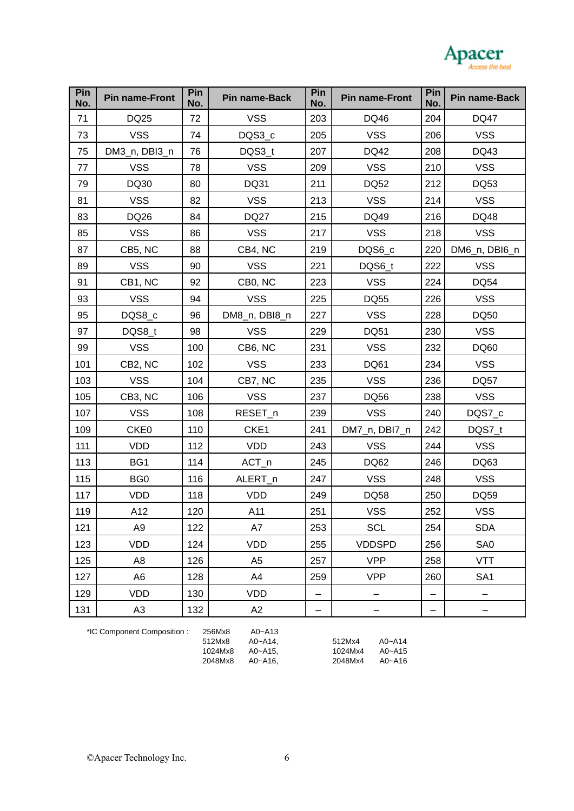

| Pin<br>No. | <b>Pin name-Front</b> | Pin<br>No. | Pin name-Back  | Pin<br>No. | <b>Pin name-Front</b> | Pin<br>No. | Pin name-Back   |
|------------|-----------------------|------------|----------------|------------|-----------------------|------------|-----------------|
| 71         | DQ25                  | 72         | <b>VSS</b>     | 203        | DQ46                  | 204        | <b>DQ47</b>     |
| 73         | <b>VSS</b>            | 74         | DQS3_c         | 205        | <b>VSS</b>            | 206        | <b>VSS</b>      |
| 75         | DM3_n, DBI3_n         | 76         | DQS3_t         | 207        | DQ42                  | 208        | DQ43            |
| 77         | <b>VSS</b>            | 78         | <b>VSS</b>     | 209        | <b>VSS</b>            | 210        | <b>VSS</b>      |
| 79         | DQ30                  | 80         | DQ31           | 211        | <b>DQ52</b>           | 212        | DQ53            |
| 81         | <b>VSS</b>            | 82         | <b>VSS</b>     | 213        | <b>VSS</b>            | 214        | <b>VSS</b>      |
| 83         | DQ26                  | 84         | <b>DQ27</b>    | 215        | DQ49                  | 216        | DQ48            |
| 85         | <b>VSS</b>            | 86         | <b>VSS</b>     | 217        | <b>VSS</b>            | 218        | <b>VSS</b>      |
| 87         | CB5, NC               | 88         | CB4, NC        | 219        | DQS6_c                | 220        | DM6_n, DBI6_n   |
| 89         | <b>VSS</b>            | 90         | <b>VSS</b>     | 221        | DQS6_t                | 222        | <b>VSS</b>      |
| 91         | CB1, NC               | 92         | CB0, NC        | 223        | <b>VSS</b>            | 224        | <b>DQ54</b>     |
| 93         | <b>VSS</b>            | 94         | <b>VSS</b>     | 225        | <b>DQ55</b>           | 226        | <b>VSS</b>      |
| 95         | DQS8_c                | 96         | DM8_n, DBI8_n  | 227        | <b>VSS</b>            | 228        | <b>DQ50</b>     |
| 97         | DQS8_t                | 98         | <b>VSS</b>     | 229        | <b>DQ51</b>           | 230        | <b>VSS</b>      |
| 99         | <b>VSS</b>            | 100        | CB6, NC        | 231        | <b>VSS</b>            | 232        | DQ60            |
| 101        | CB2, NC               | 102        | <b>VSS</b>     | 233        | <b>DQ61</b>           | 234        | <b>VSS</b>      |
| 103        | <b>VSS</b>            | 104        | CB7, NC        | 235        | <b>VSS</b>            | 236        | <b>DQ57</b>     |
| 105        | CB3, NC               | 106        | <b>VSS</b>     | 237        | <b>DQ56</b>           | 238        | <b>VSS</b>      |
| 107        | <b>VSS</b>            | 108        | RESET_n        | 239        | <b>VSS</b>            | 240        | DQS7_c          |
| 109        | CKE <sub>0</sub>      | 110        | CKE1           | 241        | DM7_n, DBI7_n         | 242        | DQS7_t          |
| 111        | <b>VDD</b>            | 112        | <b>VDD</b>     | 243        | <b>VSS</b>            | 244        | <b>VSS</b>      |
| 113        | BG1                   | 114        | $ACT_n$        | 245        | DQ62                  | 246        | DQ63            |
| 115        | BG <sub>0</sub>       | 116        | ALERT_n        | 247        | <b>VSS</b>            | 248        | <b>VSS</b>      |
| 117        | <b>VDD</b>            | 118        | <b>VDD</b>     | 249        | <b>DQ58</b>           | 250        | <b>DQ59</b>     |
| 119        | A12                   | 120        | A11            | 251        | <b>VSS</b>            | 252        | <b>VSS</b>      |
| 121        | A <sub>9</sub>        | 122        | A7             | 253        | <b>SCL</b>            | 254        | <b>SDA</b>      |
| 123        | <b>VDD</b>            | 124        | <b>VDD</b>     | 255        | <b>VDDSPD</b>         | 256        | SA <sub>0</sub> |
| 125        | A <sub>8</sub>        | 126        | A <sub>5</sub> | 257        | <b>VPP</b>            | 258        | <b>VTT</b>      |
| 127        | A6                    | 128        | A4             | 259        | <b>VPP</b>            | 260        | SA <sub>1</sub> |
| 129        | <b>VDD</b>            | 130        | <b>VDD</b>     |            |                       |            |                 |
| 131        | A <sub>3</sub>        | 132        | A2             | -          |                       | -          |                 |

\*IC Component Composition : 256Mx8 A0~A13

512Mx8 A0~A14, 512Mx4 A0~A14 1024Mx8 A0~A15, 1024Mx4 A0~A15 2048Mx8 A0~A16, 2048Mx4 A0~A16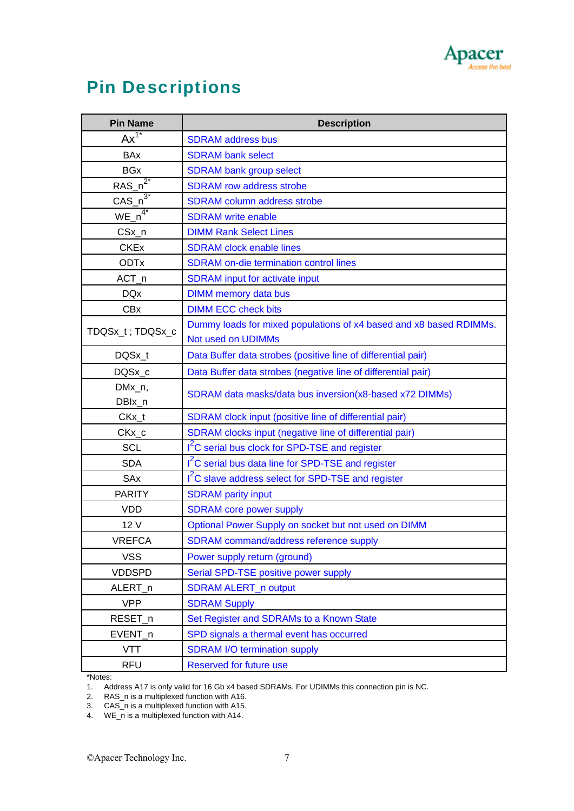

# Pin Descriptions

| <b>Pin Name</b>          | <b>Description</b>                                                                       |
|--------------------------|------------------------------------------------------------------------------------------|
| $Ax^{1^*}$               | <b>SDRAM</b> address bus                                                                 |
| <b>BAx</b>               | <b>SDRAM bank select</b>                                                                 |
| <b>BGx</b>               | <b>SDRAM bank group select</b>                                                           |
| $RAS_n^2$                | <b>SDRAM</b> row address strobe                                                          |
| $CAS_n^{\overline{3^*}}$ | <b>SDRAM</b> column address strobe                                                       |
| $WE_{n^4}$               | <b>SDRAM</b> write enable                                                                |
| $CSx_n$                  | <b>DIMM Rank Select Lines</b>                                                            |
| <b>CKEx</b>              | <b>SDRAM</b> clock enable lines                                                          |
| <b>ODTx</b>              | <b>SDRAM</b> on-die termination control lines                                            |
| $ACT_n$                  | <b>SDRAM</b> input for activate input                                                    |
| <b>DQx</b>               | <b>DIMM</b> memory data bus                                                              |
| <b>CBx</b>               | <b>DIMM ECC check bits</b>                                                               |
| TDQSx_t; TDQSx_c         | Dummy loads for mixed populations of x4 based and x8 based RDIMMs.<br>Not used on UDIMMs |
| DQSx_t                   | Data Buffer data strobes (positive line of differential pair)                            |
| DQSx_c                   | Data Buffer data strobes (negative line of differential pair)                            |
| DMx_n,<br>DBIx_n         | SDRAM data masks/data bus inversion(x8-based x72 DIMMs)                                  |
| $CKx_t$                  | SDRAM clock input (positive line of differential pair)                                   |
| CKx_c                    | SDRAM clocks input (negative line of differential pair)                                  |
| <b>SCL</b>               | I <sup>2</sup> C serial bus clock for SPD-TSE and register                               |
| <b>SDA</b>               | I <sup>2</sup> C serial bus data line for SPD-TSE and register                           |
| SAx                      | I <sup>2</sup> C slave address select for SPD-TSE and register                           |
| <b>PARITY</b>            | <b>SDRAM</b> parity input                                                                |
| <b>VDD</b>               | <b>SDRAM</b> core power supply                                                           |
| 12 V                     | Optional Power Supply on socket but not used on DIMM                                     |
| <b>VREFCA</b>            | SDRAM command/address reference supply                                                   |
| <b>VSS</b>               | Power supply return (ground)                                                             |
| <b>VDDSPD</b>            | Serial SPD-TSE positive power supply                                                     |
| ALERT_n                  | <b>SDRAM ALERT_n output</b>                                                              |
| <b>VPP</b>               | <b>SDRAM Supply</b>                                                                      |
| RESET_n                  | Set Register and SDRAMs to a Known State                                                 |
| EVENT_n                  | SPD signals a thermal event has occurred                                                 |
| <b>VTT</b>               | <b>SDRAM I/O termination supply</b>                                                      |
| <b>RFU</b>               | Reserved for future use                                                                  |

\*Notes:

1. Address A17 is only valid for 16 Gb x4 based SDRAMs. For UDIMMs this connection pin is NC.

2. RAS\_n is a multiplexed function with A16.

3. CAS\_n is a multiplexed function with A15.

4. WE\_n is a multiplexed function with A14.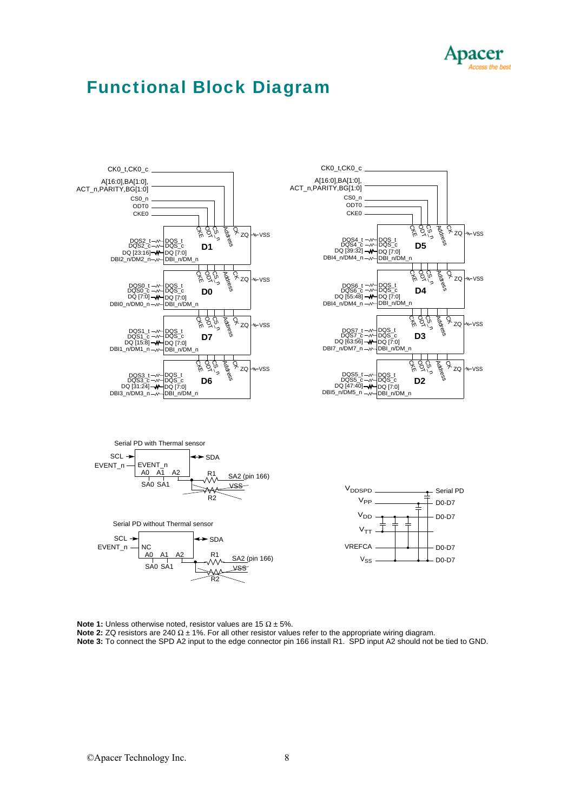

w-VSS

w-VSS

 $ZQ$   $W-VS$ SS

 $W$ VSS

Address  $\overline{S}_{ZQ}$ 

Address ዱ<br>የ

Address Q

Address  $\bar{R}_{ZQ}$ 

### Functional Block Diagram









CK0\_t,CK0\_c

DQ [39:32] DQS4\_t DQS4\_c

 $DBI_0$ <sub>D</sub> $CDM_1 - w$ 

CKE0 ODT0 CS0\_n

DQS6\_t DQS6\_c

DQ [63:56]

DBI7\_n/DM7\_n

DQ [47:40] DQS5\_t DQS5\_c

DBI5\_n/DM5\_n

DQ [55:48] DBI4\_n/DM4\_n DBI\_n/DM\_n

DQS7\_t DQS7\_c DQS\_c **D3** DQS\_t DQ [7:0] DBI\_n/DM\_n

DQ [7:0]

DBI\_n/DM

DQS\_c **D4** DQS\_t n<br>K CS\_n ODT

DQS\_c **D2** DQS\_t 嵛 CS\_n ODT

头 ag<br>S

DQS\_c **D5** DQS\_t く<br>ネ CS\_n ODT

DQ [7:0]<br>DQ [7:0]<br>DBI\_n/DM\_n

 $DQ$   $[7:0]$ <br>-DBI n/DM

**Note 1:** Unless otherwise noted, resistor values are 15 Ω ± 5%.

**Note 2:** ZQ resistors are 240 Ω ± 1%. For all other resistor values refer to the appropriate wiring diagram.

**Note 3:** To connect the SPD A2 input to the edge connector pin 166 install R1. SPD input A2 should not be tied to GND.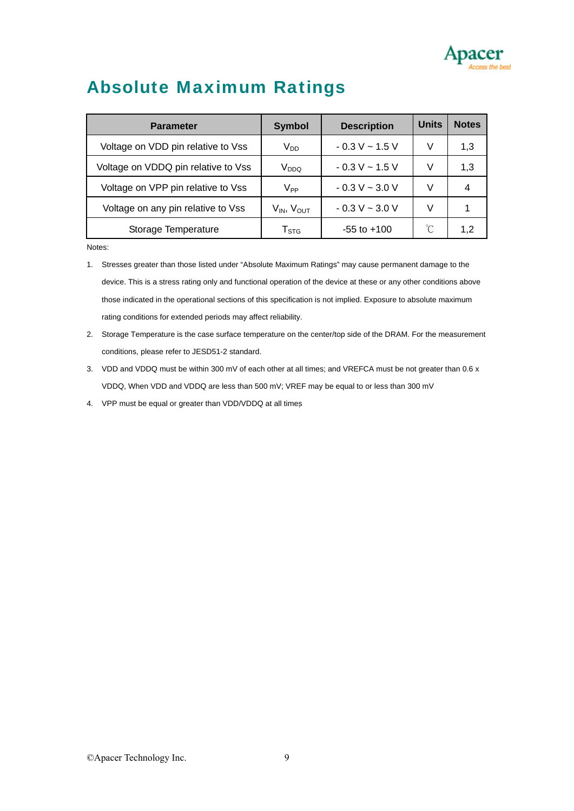

## Absolute Maximum Ratings

| <b>Parameter</b>                    | <b>Symbol</b>          | <b>Description</b> | <b>Units</b> | <b>Notes</b> |
|-------------------------------------|------------------------|--------------------|--------------|--------------|
| Voltage on VDD pin relative to Vss  | $V_{DD}$               | $-0.3 V - 1.5 V$   | V            | 1,3          |
| Voltage on VDDQ pin relative to Vss | $\rm V_{DDQ}$          | $-0.3 V - 1.5 V$   | V            | 1,3          |
| Voltage on VPP pin relative to Vss  | V <sub>PP</sub>        | $-0.3 V - 3.0 V$   | V            |              |
| Voltage on any pin relative to Vss  | $V_{IN}$ , $V_{OUT}$   | $-0.3 V - 3.0 V$   | V            |              |
| Storage Temperature                 | ${\sf T}_{\text{STG}}$ | $-55$ to $+100$    | $^{\circ}$ C | 1.2          |

Notes:

1. Stresses greater than those listed under "Absolute Maximum Ratings" may cause permanent damage to the device. This is a stress rating only and functional operation of the device at these or any other conditions above those indicated in the operational sections of this specification is not implied. Exposure to absolute maximum rating conditions for extended periods may affect reliability.

2. Storage Temperature is the case surface temperature on the center/top side of the DRAM. For the measurement conditions, please refer to JESD51-2 standard.

3. VDD and VDDQ must be within 300 mV of each other at all times; and VREFCA must be not greater than 0.6 x VDDQ, When VDD and VDDQ are less than 500 mV; VREF may be equal to or less than 300 mV

4. VPP must be equal or greater than VDD/VDDQ at all times

©Apacer Technology Inc. 9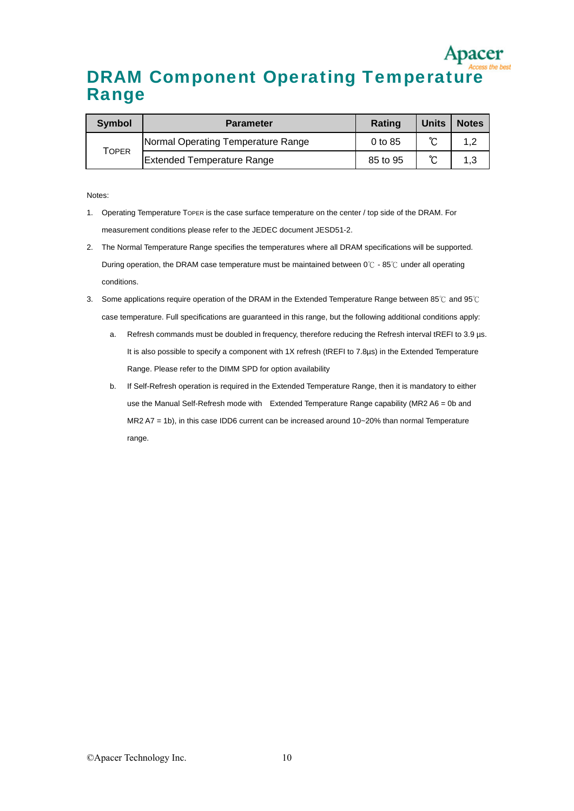# DRAM Component Operating Temperature Range

| <b>Symbol</b> | <b>Parameter</b>                   | <b>Rating</b> | <b>Units</b> | <b>Notes</b> |
|---------------|------------------------------------|---------------|--------------|--------------|
|               | Normal Operating Temperature Range | 0 to 85       | ົ            |              |
| TOPER         | <b>Extended Temperature Range</b>  | 85 to 95      | ∽            |              |

Notes:

- 1. Operating Temperature TOPER is the case surface temperature on the center / top side of the DRAM. For measurement conditions please refer to the JEDEC document JESD51-2.
- 2. The Normal Temperature Range specifies the temperatures where all DRAM specifications will be supported. During operation, the DRAM case temperature must be maintained between 0℃ - 85℃ under all operating conditions.
- 3. Some applications require operation of the DRAM in the Extended Temperature Range between 85℃ and 95℃ case temperature. Full specifications are guaranteed in this range, but the following additional conditions apply:
	- a. Refresh commands must be doubled in frequency, therefore reducing the Refresh interval tREFI to 3.9 µs. It is also possible to specify a component with 1X refresh (tREFI to 7.8µs) in the Extended Temperature Range. Please refer to the DIMM SPD for option availability
	- b. If Self-Refresh operation is required in the Extended Temperature Range, then it is mandatory to either use the Manual Self-Refresh mode with Extended Temperature Range capability (MR2 A6 = 0b and MR2 A7 = 1b), in this case IDD6 current can be increased around 10~20% than normal Temperature range.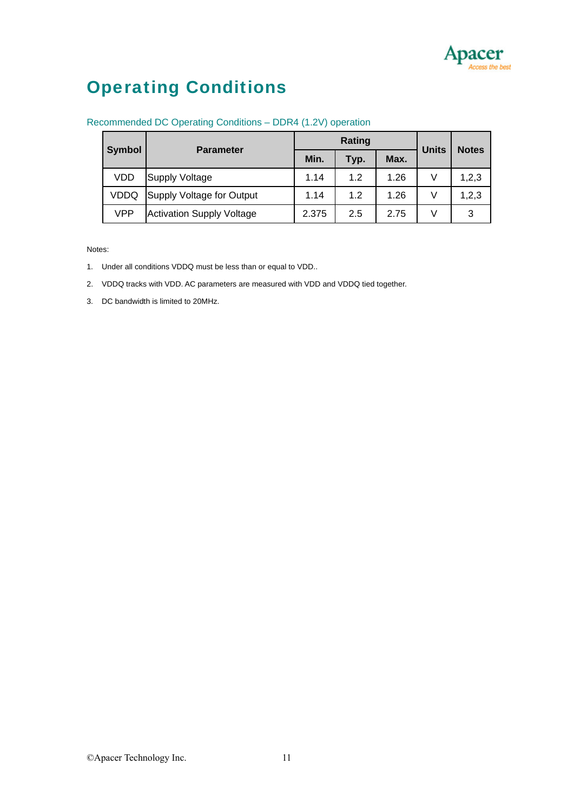

# Operating Conditions

| <b>Symbol</b><br><b>Parameter</b> |                                  |       | Rating | <b>Units</b> | <b>Notes</b> |       |
|-----------------------------------|----------------------------------|-------|--------|--------------|--------------|-------|
|                                   |                                  | Min.  | Typ.   | Max.         |              |       |
| VDD                               | <b>Supply Voltage</b>            | 1.14  | 1.2    | 1.26         | V            | 1,2,3 |
| VDDQ                              | Supply Voltage for Output        | 1.14  | 1.2    | 1.26         | V            | 1,2,3 |
| VPP                               | <b>Activation Supply Voltage</b> | 2.375 | 2.5    | 2.75         | V            | 3     |

#### Recommended DC Operating Conditions – DDR4 (1.2V) operation

Notes:

- 1. Under all conditions VDDQ must be less than or equal to VDD..
- 2. VDDQ tracks with VDD. AC parameters are measured with VDD and VDDQ tied together.
- 3. DC bandwidth is limited to 20MHz.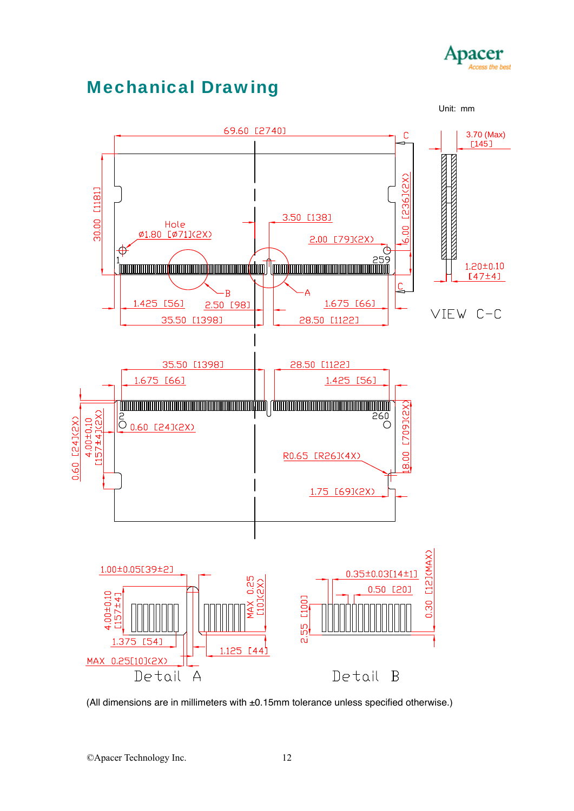

# Mechanical Drawing



(All dimensions are in millimeters with ±0.15mm tolerance unless specified otherwise.)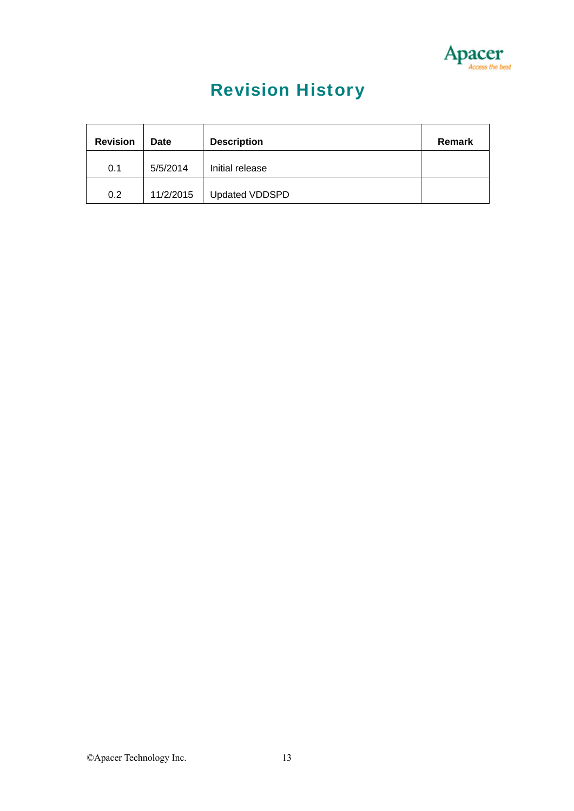

# Revision History

| <b>Revision</b> | Date      | <b>Description</b>    | Remark |
|-----------------|-----------|-----------------------|--------|
| 0.1             | 5/5/2014  | Initial release       |        |
| 0.2             | 11/2/2015 | <b>Updated VDDSPD</b> |        |